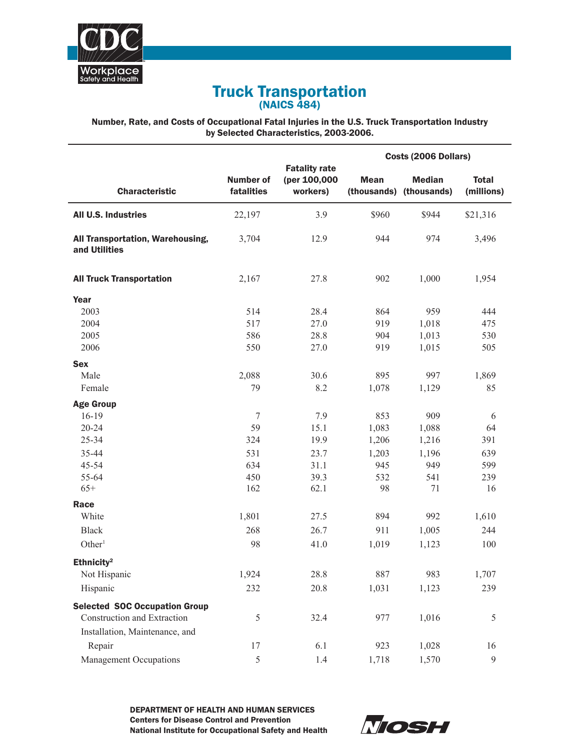

# Truck Transportation (NAICS 484)

Number, Rate, and Costs of Occupational Fatal Injuries in the U.S. Truck Transportation Industry by Selected Characteristics, 2003-2006.

| <b>Fatality rate</b><br>Number of<br>(per 100,000<br><b>Median</b><br><b>Total</b><br><b>Mean</b><br><b>Characteristic</b><br>fatalities<br>workers)<br>(thousands) (thousands)<br>(millions)<br>3.9<br>\$960<br>\$944<br>22,197<br>\$21,316<br><b>All U.S. Industries</b><br>3,704<br>12.9<br>944<br>974<br>3,496<br>All Transportation, Warehousing,<br>and Utilities<br>1,000<br>1,954<br><b>All Truck Transportation</b><br>2,167<br>27.8<br>902<br>Year<br>28.4<br>2003<br>514<br>864<br>959<br>444<br>2004<br>517<br>27.0<br>1,018<br>919<br>475<br>2005<br>586<br>28.8<br>904<br>1,013<br>530<br>2006<br>550<br>27.0<br>919<br>1,015<br>505<br><b>Sex</b><br>1,869<br>Male<br>2,088<br>30.6<br>895<br>997<br>8.2<br>Female<br>79<br>1,078<br>1,129<br>85<br><b>Age Group</b><br>$16-19$<br>853<br>909<br>$\tau$<br>7.9<br>6<br>$20 - 24$<br>59<br>15.1<br>1,083<br>1,088<br>64<br>19.9<br>25-34<br>324<br>1,206<br>1,216<br>391<br>35-44<br>531<br>23.7<br>1,203<br>1,196<br>639<br>45-54<br>634<br>31.1<br>949<br>599<br>945<br>55-64<br>450<br>39.3<br>541<br>239<br>532<br>$65+$<br>162<br>62.1<br>98<br>71<br>16<br>Race<br>992<br>1,610<br>White<br>1,801<br>27.5<br>894<br><b>Black</b><br>26.7<br>268<br>911<br>1,005<br>244<br>Other <sup>1</sup><br>98<br>41.0<br>1,123<br>1,019<br>100<br>Ethnicity <sup>2</sup><br>1,924<br>887<br>983<br>28.8<br>Not Hispanic<br>1,707<br>20.8<br>1,031<br>Hispanic<br>232<br>1,123<br>239<br><b>Selected SOC Occupation Group</b><br>Construction and Extraction<br>32.4<br>5<br>977<br>1,016<br>5<br>Installation, Maintenance, and<br>Repair<br>6.1<br>17<br>923<br>1,028<br>16 |                               |   |     | Costs (2006 Dollars) |       |   |
|---------------------------------------------------------------------------------------------------------------------------------------------------------------------------------------------------------------------------------------------------------------------------------------------------------------------------------------------------------------------------------------------------------------------------------------------------------------------------------------------------------------------------------------------------------------------------------------------------------------------------------------------------------------------------------------------------------------------------------------------------------------------------------------------------------------------------------------------------------------------------------------------------------------------------------------------------------------------------------------------------------------------------------------------------------------------------------------------------------------------------------------------------------------------------------------------------------------------------------------------------------------------------------------------------------------------------------------------------------------------------------------------------------------------------------------------------------------------------------------------------------------------------------------------------------------------------------------------------------------------------------------|-------------------------------|---|-----|----------------------|-------|---|
|                                                                                                                                                                                                                                                                                                                                                                                                                                                                                                                                                                                                                                                                                                                                                                                                                                                                                                                                                                                                                                                                                                                                                                                                                                                                                                                                                                                                                                                                                                                                                                                                                                       |                               |   |     |                      |       |   |
|                                                                                                                                                                                                                                                                                                                                                                                                                                                                                                                                                                                                                                                                                                                                                                                                                                                                                                                                                                                                                                                                                                                                                                                                                                                                                                                                                                                                                                                                                                                                                                                                                                       |                               |   |     |                      |       |   |
|                                                                                                                                                                                                                                                                                                                                                                                                                                                                                                                                                                                                                                                                                                                                                                                                                                                                                                                                                                                                                                                                                                                                                                                                                                                                                                                                                                                                                                                                                                                                                                                                                                       |                               |   |     |                      |       |   |
|                                                                                                                                                                                                                                                                                                                                                                                                                                                                                                                                                                                                                                                                                                                                                                                                                                                                                                                                                                                                                                                                                                                                                                                                                                                                                                                                                                                                                                                                                                                                                                                                                                       |                               |   |     |                      |       |   |
|                                                                                                                                                                                                                                                                                                                                                                                                                                                                                                                                                                                                                                                                                                                                                                                                                                                                                                                                                                                                                                                                                                                                                                                                                                                                                                                                                                                                                                                                                                                                                                                                                                       |                               |   |     |                      |       |   |
|                                                                                                                                                                                                                                                                                                                                                                                                                                                                                                                                                                                                                                                                                                                                                                                                                                                                                                                                                                                                                                                                                                                                                                                                                                                                                                                                                                                                                                                                                                                                                                                                                                       |                               |   |     |                      |       |   |
|                                                                                                                                                                                                                                                                                                                                                                                                                                                                                                                                                                                                                                                                                                                                                                                                                                                                                                                                                                                                                                                                                                                                                                                                                                                                                                                                                                                                                                                                                                                                                                                                                                       |                               |   |     |                      |       |   |
|                                                                                                                                                                                                                                                                                                                                                                                                                                                                                                                                                                                                                                                                                                                                                                                                                                                                                                                                                                                                                                                                                                                                                                                                                                                                                                                                                                                                                                                                                                                                                                                                                                       |                               |   |     |                      |       |   |
|                                                                                                                                                                                                                                                                                                                                                                                                                                                                                                                                                                                                                                                                                                                                                                                                                                                                                                                                                                                                                                                                                                                                                                                                                                                                                                                                                                                                                                                                                                                                                                                                                                       |                               |   |     |                      |       |   |
|                                                                                                                                                                                                                                                                                                                                                                                                                                                                                                                                                                                                                                                                                                                                                                                                                                                                                                                                                                                                                                                                                                                                                                                                                                                                                                                                                                                                                                                                                                                                                                                                                                       |                               |   |     |                      |       |   |
|                                                                                                                                                                                                                                                                                                                                                                                                                                                                                                                                                                                                                                                                                                                                                                                                                                                                                                                                                                                                                                                                                                                                                                                                                                                                                                                                                                                                                                                                                                                                                                                                                                       |                               |   |     |                      |       |   |
|                                                                                                                                                                                                                                                                                                                                                                                                                                                                                                                                                                                                                                                                                                                                                                                                                                                                                                                                                                                                                                                                                                                                                                                                                                                                                                                                                                                                                                                                                                                                                                                                                                       |                               |   |     |                      |       |   |
|                                                                                                                                                                                                                                                                                                                                                                                                                                                                                                                                                                                                                                                                                                                                                                                                                                                                                                                                                                                                                                                                                                                                                                                                                                                                                                                                                                                                                                                                                                                                                                                                                                       |                               |   |     |                      |       |   |
|                                                                                                                                                                                                                                                                                                                                                                                                                                                                                                                                                                                                                                                                                                                                                                                                                                                                                                                                                                                                                                                                                                                                                                                                                                                                                                                                                                                                                                                                                                                                                                                                                                       |                               |   |     |                      |       |   |
|                                                                                                                                                                                                                                                                                                                                                                                                                                                                                                                                                                                                                                                                                                                                                                                                                                                                                                                                                                                                                                                                                                                                                                                                                                                                                                                                                                                                                                                                                                                                                                                                                                       |                               |   |     |                      |       |   |
|                                                                                                                                                                                                                                                                                                                                                                                                                                                                                                                                                                                                                                                                                                                                                                                                                                                                                                                                                                                                                                                                                                                                                                                                                                                                                                                                                                                                                                                                                                                                                                                                                                       |                               |   |     |                      |       |   |
|                                                                                                                                                                                                                                                                                                                                                                                                                                                                                                                                                                                                                                                                                                                                                                                                                                                                                                                                                                                                                                                                                                                                                                                                                                                                                                                                                                                                                                                                                                                                                                                                                                       |                               |   |     |                      |       |   |
|                                                                                                                                                                                                                                                                                                                                                                                                                                                                                                                                                                                                                                                                                                                                                                                                                                                                                                                                                                                                                                                                                                                                                                                                                                                                                                                                                                                                                                                                                                                                                                                                                                       |                               |   |     |                      |       |   |
|                                                                                                                                                                                                                                                                                                                                                                                                                                                                                                                                                                                                                                                                                                                                                                                                                                                                                                                                                                                                                                                                                                                                                                                                                                                                                                                                                                                                                                                                                                                                                                                                                                       |                               |   |     |                      |       |   |
|                                                                                                                                                                                                                                                                                                                                                                                                                                                                                                                                                                                                                                                                                                                                                                                                                                                                                                                                                                                                                                                                                                                                                                                                                                                                                                                                                                                                                                                                                                                                                                                                                                       |                               |   |     |                      |       |   |
|                                                                                                                                                                                                                                                                                                                                                                                                                                                                                                                                                                                                                                                                                                                                                                                                                                                                                                                                                                                                                                                                                                                                                                                                                                                                                                                                                                                                                                                                                                                                                                                                                                       |                               |   |     |                      |       |   |
|                                                                                                                                                                                                                                                                                                                                                                                                                                                                                                                                                                                                                                                                                                                                                                                                                                                                                                                                                                                                                                                                                                                                                                                                                                                                                                                                                                                                                                                                                                                                                                                                                                       |                               |   |     |                      |       |   |
|                                                                                                                                                                                                                                                                                                                                                                                                                                                                                                                                                                                                                                                                                                                                                                                                                                                                                                                                                                                                                                                                                                                                                                                                                                                                                                                                                                                                                                                                                                                                                                                                                                       |                               |   |     |                      |       |   |
|                                                                                                                                                                                                                                                                                                                                                                                                                                                                                                                                                                                                                                                                                                                                                                                                                                                                                                                                                                                                                                                                                                                                                                                                                                                                                                                                                                                                                                                                                                                                                                                                                                       |                               |   |     |                      |       |   |
|                                                                                                                                                                                                                                                                                                                                                                                                                                                                                                                                                                                                                                                                                                                                                                                                                                                                                                                                                                                                                                                                                                                                                                                                                                                                                                                                                                                                                                                                                                                                                                                                                                       |                               |   |     |                      |       |   |
|                                                                                                                                                                                                                                                                                                                                                                                                                                                                                                                                                                                                                                                                                                                                                                                                                                                                                                                                                                                                                                                                                                                                                                                                                                                                                                                                                                                                                                                                                                                                                                                                                                       |                               |   |     |                      |       |   |
|                                                                                                                                                                                                                                                                                                                                                                                                                                                                                                                                                                                                                                                                                                                                                                                                                                                                                                                                                                                                                                                                                                                                                                                                                                                                                                                                                                                                                                                                                                                                                                                                                                       |                               |   |     |                      |       |   |
|                                                                                                                                                                                                                                                                                                                                                                                                                                                                                                                                                                                                                                                                                                                                                                                                                                                                                                                                                                                                                                                                                                                                                                                                                                                                                                                                                                                                                                                                                                                                                                                                                                       |                               |   |     |                      |       |   |
|                                                                                                                                                                                                                                                                                                                                                                                                                                                                                                                                                                                                                                                                                                                                                                                                                                                                                                                                                                                                                                                                                                                                                                                                                                                                                                                                                                                                                                                                                                                                                                                                                                       |                               |   |     |                      |       |   |
|                                                                                                                                                                                                                                                                                                                                                                                                                                                                                                                                                                                                                                                                                                                                                                                                                                                                                                                                                                                                                                                                                                                                                                                                                                                                                                                                                                                                                                                                                                                                                                                                                                       |                               |   |     |                      |       |   |
|                                                                                                                                                                                                                                                                                                                                                                                                                                                                                                                                                                                                                                                                                                                                                                                                                                                                                                                                                                                                                                                                                                                                                                                                                                                                                                                                                                                                                                                                                                                                                                                                                                       |                               |   |     |                      |       |   |
|                                                                                                                                                                                                                                                                                                                                                                                                                                                                                                                                                                                                                                                                                                                                                                                                                                                                                                                                                                                                                                                                                                                                                                                                                                                                                                                                                                                                                                                                                                                                                                                                                                       | <b>Management Occupations</b> | 5 | 1.4 | 1,718                | 1,570 | 9 |

DEPARTMENT OF HEALTH AND HUMAN SERVICES Centers for Disease Control and Prevention National Institute for Occupational Safety and Health

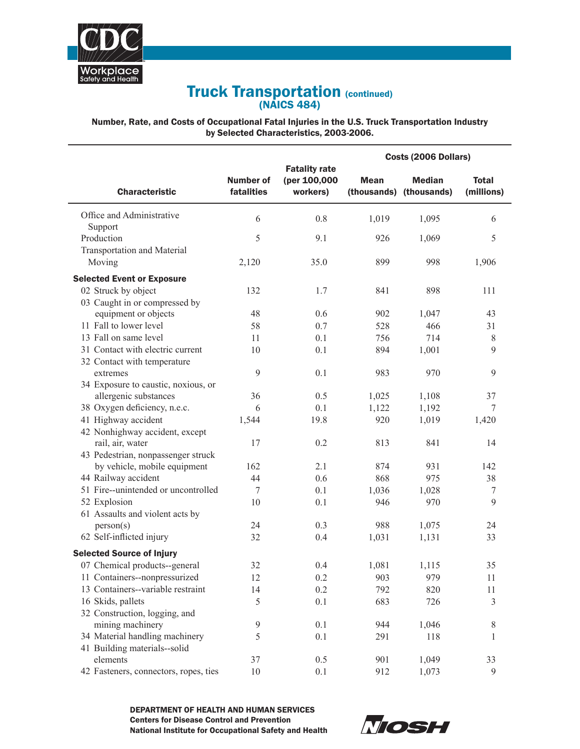

# **Truck Transportation (continued)** (NAICS 484)

Number, Rate, and Costs of Occupational Fatal Injuries in the U.S. Truck Transportation Industry by Selected Characteristics, 2003-2006.

|                                       |                                |                                                  | Costs (2006 Dollars) |                                          |                            |
|---------------------------------------|--------------------------------|--------------------------------------------------|----------------------|------------------------------------------|----------------------------|
| <b>Characteristic</b>                 | <b>Number of</b><br>fatalities | <b>Fatality rate</b><br>(per 100,000<br>workers) | <b>Mean</b>          | <b>Median</b><br>(thousands) (thousands) | <b>Total</b><br>(millions) |
| Office and Administrative             | 6                              | 0.8                                              | 1,019                | 1,095                                    | 6                          |
| Support                               |                                |                                                  |                      |                                          |                            |
| Production                            | 5                              | 9.1                                              | 926                  | 1,069                                    | 5                          |
| Transportation and Material           |                                |                                                  |                      |                                          |                            |
| Moving                                | 2,120                          | 35.0                                             | 899                  | 998                                      | 1,906                      |
| <b>Selected Event or Exposure</b>     |                                |                                                  |                      |                                          |                            |
| 02 Struck by object                   | 132                            | 1.7                                              | 841                  | 898                                      | 111                        |
| 03 Caught in or compressed by         |                                |                                                  |                      |                                          |                            |
| equipment or objects                  | 48                             | 0.6                                              | 902                  | 1,047                                    | 43                         |
| 11 Fall to lower level                | 58                             | 0.7                                              | 528                  | 466                                      | 31                         |
| 13 Fall on same level                 | 11                             | 0.1                                              | 756                  | 714                                      | $8\,$                      |
| 31 Contact with electric current      | 10                             | 0.1                                              | 894                  | 1,001                                    | $\mathbf{9}$               |
| 32 Contact with temperature           |                                |                                                  |                      |                                          |                            |
| extremes                              | 9                              | 0.1                                              | 983                  | 970                                      | $\mathbf{9}$               |
| 34 Exposure to caustic, noxious, or   |                                |                                                  |                      |                                          |                            |
| allergenic substances                 | 36                             | 0.5                                              | 1,025                | 1,108                                    | 37                         |
| 38 Oxygen deficiency, n.e.c.          | 6                              | 0.1                                              | 1,122                | 1,192                                    | 7                          |
| 41 Highway accident                   | 1,544                          | 19.8                                             | 920                  | 1,019                                    | 1,420                      |
| 42 Nonhighway accident, except        |                                |                                                  |                      |                                          |                            |
| rail, air, water                      | 17                             | 0.2                                              | 813                  | 841                                      | 14                         |
| 43 Pedestrian, nonpassenger struck    |                                |                                                  |                      |                                          |                            |
| by vehicle, mobile equipment          | 162                            | 2.1                                              | 874                  | 931                                      | 142                        |
| 44 Railway accident                   | 44                             | 0.6                                              | 868                  | 975                                      | 38                         |
| 51 Fire--unintended or uncontrolled   | 7                              | 0.1                                              | 1,036                | 1,028                                    | 7                          |
| 52 Explosion                          | 10                             | 0.1                                              | 946                  | 970                                      | 9                          |
| 61 Assaults and violent acts by       |                                |                                                  |                      |                                          |                            |
| person(s)                             | 24                             | 0.3                                              | 988                  | 1,075                                    | 24                         |
| 62 Self-inflicted injury              | 32                             | 0.4                                              | 1,031                | 1,131                                    | 33                         |
| <b>Selected Source of Injury</b>      |                                |                                                  |                      |                                          |                            |
| 07 Chemical products--general         | 32                             | 0.4                                              | 1,081                | 1,115                                    | 35                         |
| 11 Containers--nonpressurized         | 12                             | 0.2                                              | 903                  | 979                                      | 11                         |
| 13 Containers--variable restraint     | 14                             | 0.2                                              | 792                  | 820                                      | 11                         |
| 16 Skids, pallets                     | 5                              | 0.1                                              | 683                  | 726                                      | $\mathfrak{Z}$             |
| 32 Construction, logging, and         |                                |                                                  |                      |                                          |                            |
| mining machinery                      | 9                              | 0.1                                              | 944                  | 1,046                                    | 8                          |
| 34 Material handling machinery        | 5                              | $0.1\,$                                          | 291                  | 118                                      | 1                          |
| 41 Building materials--solid          |                                |                                                  |                      |                                          |                            |
| elements                              | 37                             | 0.5                                              | 901                  | 1,049                                    | 33                         |
| 42 Fasteners, connectors, ropes, ties | 10                             | 0.1                                              | 912                  | 1,073                                    | $\mathbf{9}$               |

DEPARTMENT OF HEALTH AND HUMAN SERVICES Centers for Disease Control and Prevention National Institute for Occupational Safety and Health

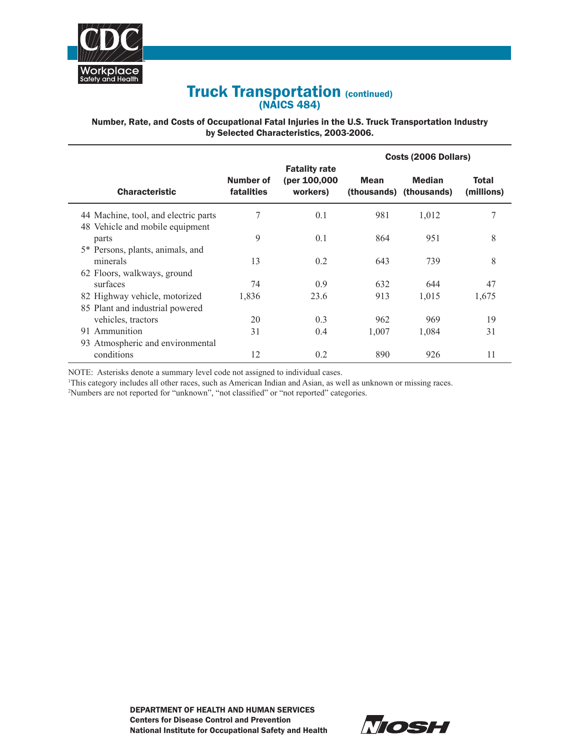

# **Truck Transportation (continued)** (NAICS 484)

## Number, Rate, and Costs of Occupational Fatal Injuries in the U.S. Truck Transportation Industry by Selected Characteristics, 2003-2006.

|                                                                         |                         |                                                  | Costs (2006 Dollars) |                                          |                            |  |
|-------------------------------------------------------------------------|-------------------------|--------------------------------------------------|----------------------|------------------------------------------|----------------------------|--|
| <b>Characteristic</b>                                                   | Number of<br>fatalities | <b>Fatality rate</b><br>(per 100,000<br>workers) | <b>Mean</b>          | <b>Median</b><br>(thousands) (thousands) | <b>Total</b><br>(millions) |  |
| 44 Machine, tool, and electric parts<br>48 Vehicle and mobile equipment | 7                       | 0.1                                              | 981                  | 1,012                                    | 7                          |  |
| parts                                                                   | 9                       | 0.1                                              | 864                  | 951                                      | 8                          |  |
| 5* Persons, plants, animals, and<br>minerals                            | 13                      | 0.2                                              | 643                  | 739                                      | 8                          |  |
| 62 Floors, walkways, ground                                             |                         |                                                  |                      |                                          |                            |  |
| surfaces                                                                | 74                      | 0.9                                              | 632                  | 644                                      | 47                         |  |
| 82 Highway vehicle, motorized                                           | 1,836                   | 23.6                                             | 913                  | 1,015                                    | 1,675                      |  |
| 85 Plant and industrial powered                                         |                         |                                                  |                      |                                          |                            |  |
| vehicles, tractors                                                      | 20                      | 0.3                                              | 962                  | 969                                      | 19                         |  |
| Ammunition<br>91                                                        | 31                      | 0.4                                              | 1,007                | 1,084                                    | 31                         |  |
| 93 Atmospheric and environmental                                        |                         |                                                  |                      |                                          |                            |  |
| conditions                                                              | 12                      | 0.2                                              | 890                  | 926                                      | 11                         |  |

NOTE: Asterisks denote a summary level code not assigned to individual cases.

1 This category includes all other races, such as American Indian and Asian, as well as unknown or missing races.

2 Numbers are not reported for "unknown", "not classified" or "not reported" categories.